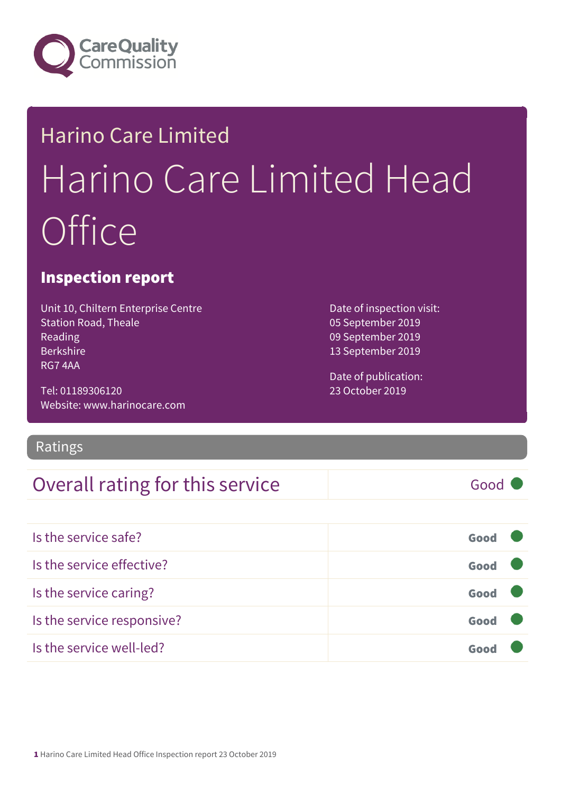

# Harino Care Limited Harino Care Limited Head **Office**

#### Inspection report

Unit 10, Chiltern Enterprise Centre Station Road, Theale Reading Berkshire RG7 4AA

Tel: 01189306120 Website: www.harinocare.com

Ratings

#### Overall rating for this service Good

Is the service safe? Good Is the service effective? Contact the service effective? Is the service caring? Good Is the service responsive? Good Is the service well-led? Good

Date of inspection visit: 05 September 2019 09 September 2019 13 September 2019

Date of publication: 23 October 2019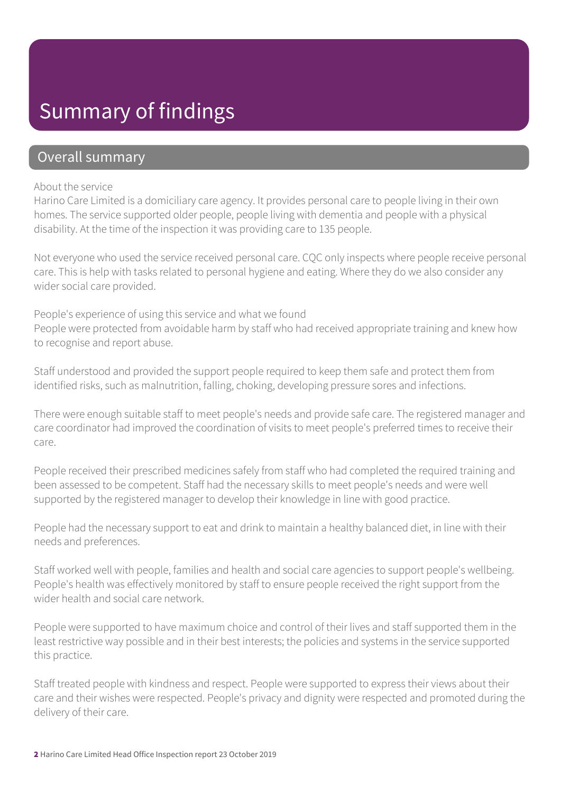### Summary of findings

#### Overall summary

#### About the service

Harino Care Limited is a domiciliary care agency. It provides personal care to people living in their own homes. The service supported older people, people living with dementia and people with a physical disability. At the time of the inspection it was providing care to 135 people.

Not everyone who used the service received personal care. CQC only inspects where people receive personal care. This is help with tasks related to personal hygiene and eating. Where they do we also consider any wider social care provided.

People's experience of using this service and what we found

People were protected from avoidable harm by staff who had received appropriate training and knew how to recognise and report abuse.

Staff understood and provided the support people required to keep them safe and protect them from identified risks, such as malnutrition, falling, choking, developing pressure sores and infections.

There were enough suitable staff to meet people's needs and provide safe care. The registered manager and care coordinator had improved the coordination of visits to meet people's preferred times to receive their care.

People received their prescribed medicines safely from staff who had completed the required training and been assessed to be competent. Staff had the necessary skills to meet people's needs and were well supported by the registered manager to develop their knowledge in line with good practice.

People had the necessary support to eat and drink to maintain a healthy balanced diet, in line with their needs and preferences.

Staff worked well with people, families and health and social care agencies to support people's wellbeing. People's health was effectively monitored by staff to ensure people received the right support from the wider health and social care network.

People were supported to have maximum choice and control of their lives and staff supported them in the least restrictive way possible and in their best interests; the policies and systems in the service supported this practice.

Staff treated people with kindness and respect. People were supported to express their views about their care and their wishes were respected. People's privacy and dignity were respected and promoted during the delivery of their care.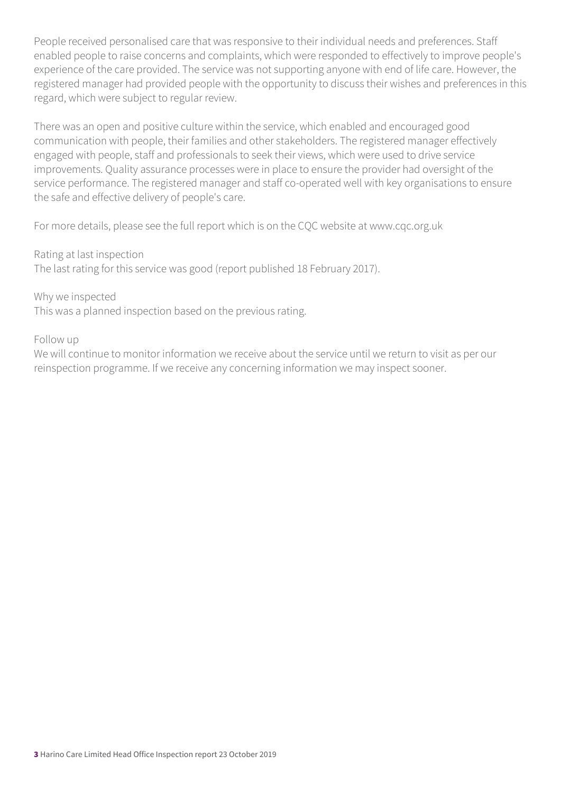People received personalised care that was responsive to their individual needs and preferences. Staff enabled people to raise concerns and complaints, which were responded to effectively to improve people's experience of the care provided. The service was not supporting anyone with end of life care. However, the registered manager had provided people with the opportunity to discuss their wishes and preferences in this regard, which were subject to regular review.

There was an open and positive culture within the service, which enabled and encouraged good communication with people, their families and other stakeholders. The registered manager effectively engaged with people, staff and professionals to seek their views, which were used to drive service improvements. Quality assurance processes were in place to ensure the provider had oversight of the service performance. The registered manager and staff co-operated well with key organisations to ensure the safe and effective delivery of people's care.

For more details, please see the full report which is on the CQC website at www.cqc.org.uk

Rating at last inspection The last rating for this service was good (report published 18 February 2017).

Why we inspected

This was a planned inspection based on the previous rating.

Follow up

We will continue to monitor information we receive about the service until we return to visit as per our reinspection programme. If we receive any concerning information we may inspect sooner.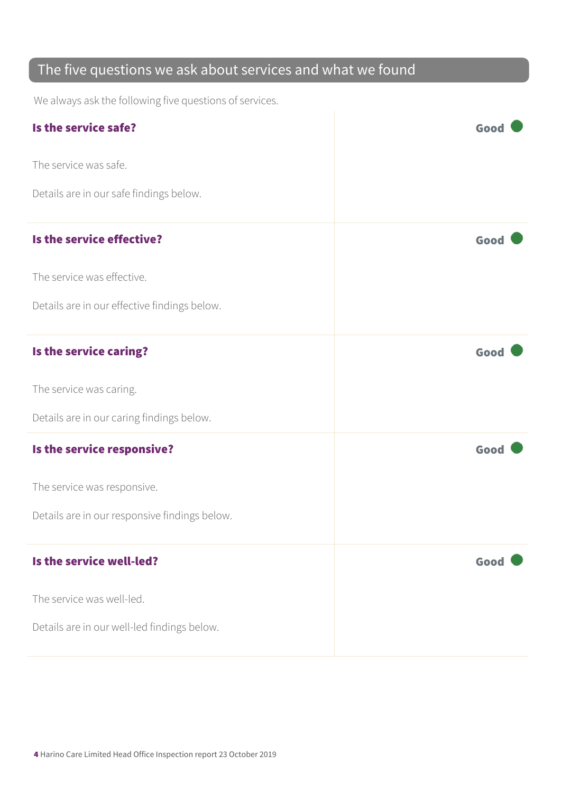#### The five questions we ask about services and what we found

We always ask the following five questions of services.

| Is the service safe?                          | Good |
|-----------------------------------------------|------|
| The service was safe.                         |      |
| Details are in our safe findings below.       |      |
| Is the service effective?                     | Good |
| The service was effective.                    |      |
| Details are in our effective findings below.  |      |
| Is the service caring?                        | Good |
| The service was caring.                       |      |
| Details are in our caring findings below.     |      |
| Is the service responsive?                    | Good |
| The service was responsive.                   |      |
| Details are in our responsive findings below. |      |
| Is the service well-led?                      | Good |
| The service was well-led.                     |      |
| Details are in our well-led findings below.   |      |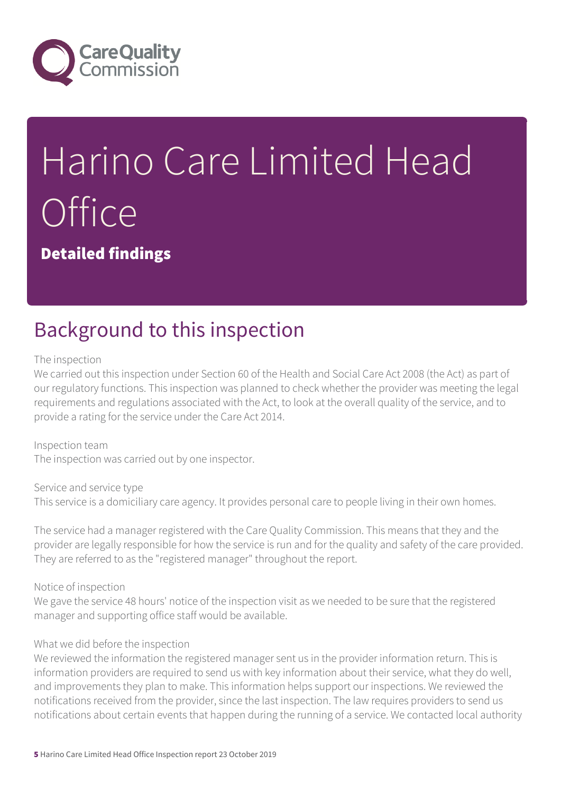

# Harino Care Limited Head **Office**

Detailed findings

### Background to this inspection

The inspection

We carried out this inspection under Section 60 of the Health and Social Care Act 2008 (the Act) as part of our regulatory functions. This inspection was planned to check whether the provider was meeting the legal requirements and regulations associated with the Act, to look at the overall quality of the service, and to provide a rating for the service under the Care Act 2014.

Inspection team The inspection was carried out by one inspector.

Service and service type This service is a domiciliary care agency. It provides personal care to people living in their own homes.

The service had a manager registered with the Care Quality Commission. This means that they and the provider are legally responsible for how the service is run and for the quality and safety of the care provided. They are referred to as the "registered manager" throughout the report.

Notice of inspection

We gave the service 48 hours' notice of the inspection visit as we needed to be sure that the registered manager and supporting office staff would be available.

#### What we did before the inspection

We reviewed the information the registered manager sent us in the provider information return. This is information providers are required to send us with key information about their service, what they do well, and improvements they plan to make. This information helps support our inspections. We reviewed the notifications received from the provider, since the last inspection. The law requires providers to send us notifications about certain events that happen during the running of a service. We contacted local authority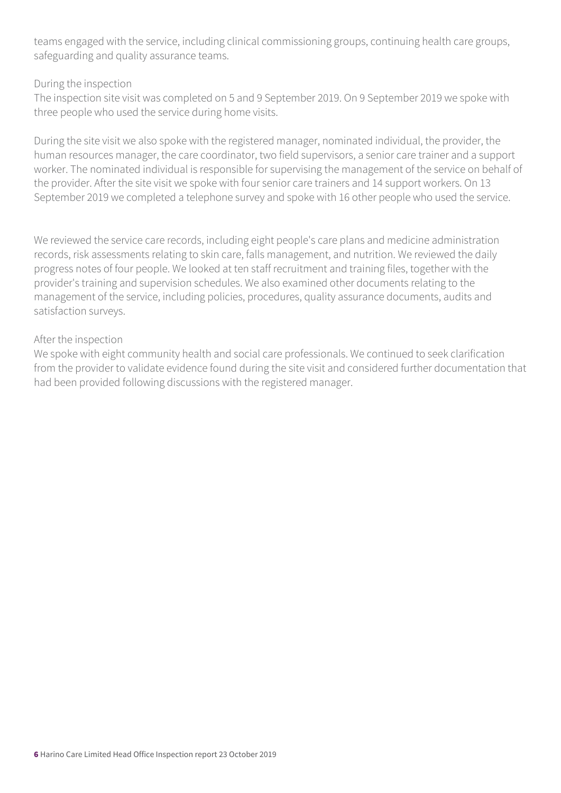teams engaged with the service, including clinical commissioning groups, continuing health care groups, safeguarding and quality assurance teams.

#### During the inspection

The inspection site visit was completed on 5 and 9 September 2019. On 9 September 2019 we spoke with three people who used the service during home visits.

During the site visit we also spoke with the registered manager, nominated individual, the provider, the human resources manager, the care coordinator, two field supervisors, a senior care trainer and a support worker. The nominated individual is responsible for supervising the management of the service on behalf of the provider. After the site visit we spoke with four senior care trainers and 14 support workers. On 13 September 2019 we completed a telephone survey and spoke with 16 other people who used the service.

We reviewed the service care records, including eight people's care plans and medicine administration records, risk assessments relating to skin care, falls management, and nutrition. We reviewed the daily progress notes of four people. We looked at ten staff recruitment and training files, together with the provider's training and supervision schedules. We also examined other documents relating to the management of the service, including policies, procedures, quality assurance documents, audits and satisfaction surveys.

#### After the inspection

We spoke with eight community health and social care professionals. We continued to seek clarification from the provider to validate evidence found during the site visit and considered further documentation that had been provided following discussions with the registered manager.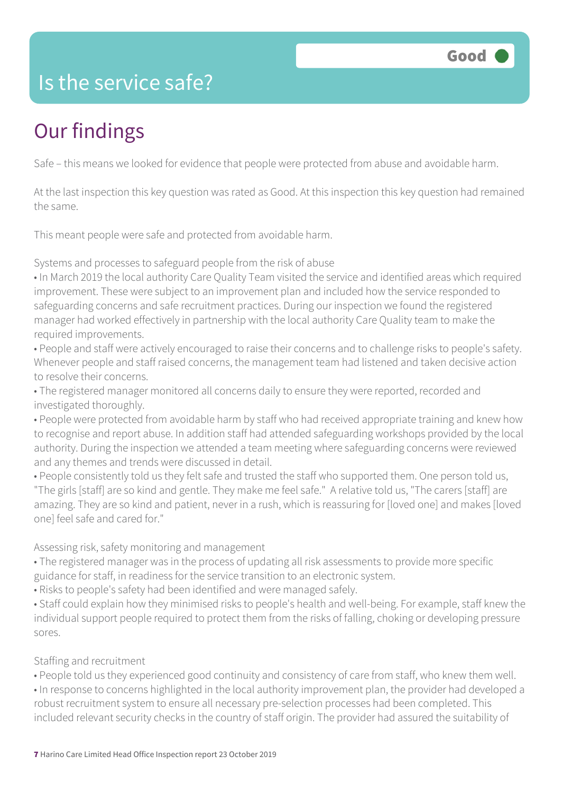### Is the service safe?

## Our findings

Safe – this means we looked for evidence that people were protected from abuse and avoidable harm.

At the last inspection this key question was rated as Good. At this inspection this key question had remained the same.

This meant people were safe and protected from avoidable harm.

Systems and processes to safeguard people from the risk of abuse

• In March 2019 the local authority Care Quality Team visited the service and identified areas which required improvement. These were subject to an improvement plan and included how the service responded to safeguarding concerns and safe recruitment practices. During our inspection we found the registered manager had worked effectively in partnership with the local authority Care Quality team to make the required improvements.

• People and staff were actively encouraged to raise their concerns and to challenge risks to people's safety. Whenever people and staff raised concerns, the management team had listened and taken decisive action to resolve their concerns.

• The registered manager monitored all concerns daily to ensure they were reported, recorded and investigated thoroughly.

• People were protected from avoidable harm by staff who had received appropriate training and knew how to recognise and report abuse. In addition staff had attended safeguarding workshops provided by the local authority. During the inspection we attended a team meeting where safeguarding concerns were reviewed and any themes and trends were discussed in detail.

• People consistently told us they felt safe and trusted the staff who supported them. One person told us, "The girls [staff] are so kind and gentle. They make me feel safe." A relative told us, "The carers [staff] are amazing. They are so kind and patient, never in a rush, which is reassuring for [loved one] and makes [loved one] feel safe and cared for."

Assessing risk, safety monitoring and management

• The registered manager was in the process of updating all risk assessments to provide more specific guidance for staff, in readiness for the service transition to an electronic system.

• Risks to people's safety had been identified and were managed safely.

• Staff could explain how they minimised risks to people's health and well-being. For example, staff knew the individual support people required to protect them from the risks of falling, choking or developing pressure sores.

Staffing and recruitment

• People told us they experienced good continuity and consistency of care from staff, who knew them well.

• In response to concerns highlighted in the local authority improvement plan, the provider had developed a robust recruitment system to ensure all necessary pre-selection processes had been completed. This included relevant security checks in the country of staff origin. The provider had assured the suitability of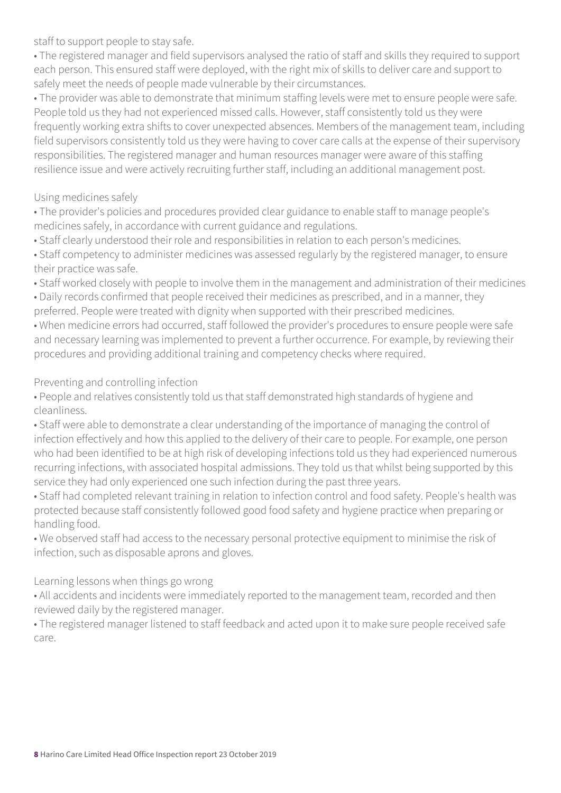staff to support people to stay safe.

• The registered manager and field supervisors analysed the ratio of staff and skills they required to support each person. This ensured staff were deployed, with the right mix of skills to deliver care and support to safely meet the needs of people made vulnerable by their circumstances.

• The provider was able to demonstrate that minimum staffing levels were met to ensure people were safe. People told us they had not experienced missed calls. However, staff consistently told us they were frequently working extra shifts to cover unexpected absences. Members of the management team, including field supervisors consistently told us they were having to cover care calls at the expense of their supervisory responsibilities. The registered manager and human resources manager were aware of this staffing resilience issue and were actively recruiting further staff, including an additional management post.

#### Using medicines safely

• The provider's policies and procedures provided clear guidance to enable staff to manage people's medicines safely, in accordance with current guidance and regulations.

• Staff clearly understood their role and responsibilities in relation to each person's medicines.

• Staff competency to administer medicines was assessed regularly by the registered manager, to ensure their practice was safe.

• Staff worked closely with people to involve them in the management and administration of their medicines

• Daily records confirmed that people received their medicines as prescribed, and in a manner, they preferred. People were treated with dignity when supported with their prescribed medicines.

• When medicine errors had occurred, staff followed the provider's procedures to ensure people were safe and necessary learning was implemented to prevent a further occurrence. For example, by reviewing their procedures and providing additional training and competency checks where required.

Preventing and controlling infection

• People and relatives consistently told us that staff demonstrated high standards of hygiene and cleanliness.

• Staff were able to demonstrate a clear understanding of the importance of managing the control of infection effectively and how this applied to the delivery of their care to people. For example, one person who had been identified to be at high risk of developing infections told us they had experienced numerous recurring infections, with associated hospital admissions. They told us that whilst being supported by this service they had only experienced one such infection during the past three years.

• Staff had completed relevant training in relation to infection control and food safety. People's health was protected because staff consistently followed good food safety and hygiene practice when preparing or handling food.

• We observed staff had access to the necessary personal protective equipment to minimise the risk of infection, such as disposable aprons and gloves.

Learning lessons when things go wrong

• All accidents and incidents were immediately reported to the management team, recorded and then reviewed daily by the registered manager.

• The registered manager listened to staff feedback and acted upon it to make sure people received safe care.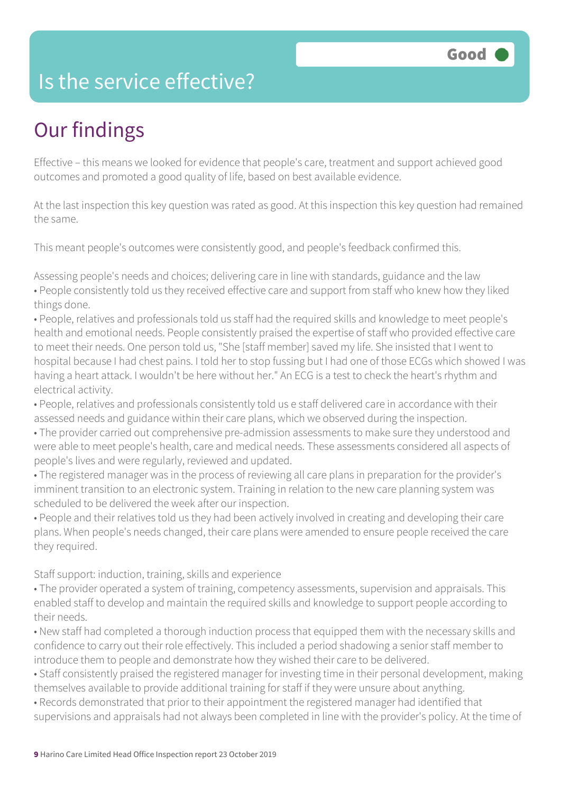### Is the service effective?

## Our findings

Effective – this means we looked for evidence that people's care, treatment and support achieved good outcomes and promoted a good quality of life, based on best available evidence.

At the last inspection this key question was rated as good. At this inspection this key question had remained the same.

This meant people's outcomes were consistently good, and people's feedback confirmed this.

Assessing people's needs and choices; delivering care in line with standards, guidance and the law • People consistently told us they received effective care and support from staff who knew how they liked things done.

• People, relatives and professionals told us staff had the required skills and knowledge to meet people's health and emotional needs. People consistently praised the expertise of staff who provided effective care to meet their needs. One person told us, "She [staff member] saved my life. She insisted that I went to hospital because I had chest pains. I told her to stop fussing but I had one of those ECGs which showed I was having a heart attack. I wouldn't be here without her." An ECG is a test to check the heart's rhythm and electrical activity.

• People, relatives and professionals consistently told us e staff delivered care in accordance with their assessed needs and guidance within their care plans, which we observed during the inspection.

• The provider carried out comprehensive pre-admission assessments to make sure they understood and were able to meet people's health, care and medical needs. These assessments considered all aspects of people's lives and were regularly, reviewed and updated.

• The registered manager was in the process of reviewing all care plans in preparation for the provider's imminent transition to an electronic system. Training in relation to the new care planning system was scheduled to be delivered the week after our inspection.

• People and their relatives told us they had been actively involved in creating and developing their care plans. When people's needs changed, their care plans were amended to ensure people received the care they required.

Staff support: induction, training, skills and experience

• The provider operated a system of training, competency assessments, supervision and appraisals. This enabled staff to develop and maintain the required skills and knowledge to support people according to their needs.

• New staff had completed a thorough induction process that equipped them with the necessary skills and confidence to carry out their role effectively. This included a period shadowing a senior staff member to introduce them to people and demonstrate how they wished their care to be delivered.

• Staff consistently praised the registered manager for investing time in their personal development, making themselves available to provide additional training for staff if they were unsure about anything.

• Records demonstrated that prior to their appointment the registered manager had identified that supervisions and appraisals had not always been completed in line with the provider's policy. At the time of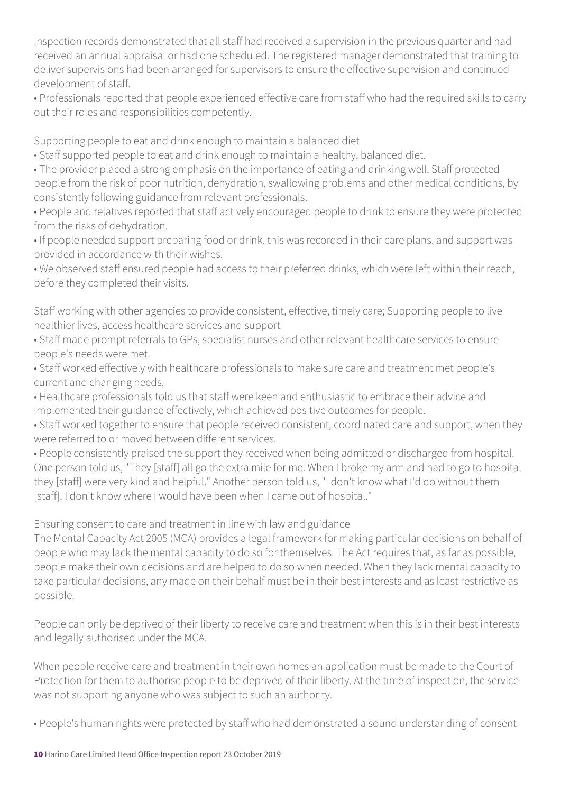inspection records demonstrated that all staff had received a supervision in the previous quarter and had received an annual appraisal or had one scheduled. The registered manager demonstrated that training to deliver supervisions had been arranged for supervisors to ensure the effective supervision and continued development of staff.

• Professionals reported that people experienced effective care from staff who had the required skills to carry out their roles and responsibilities competently.

Supporting people to eat and drink enough to maintain a balanced diet

• Staff supported people to eat and drink enough to maintain a healthy, balanced diet.

• The provider placed a strong emphasis on the importance of eating and drinking well. Staff protected people from the risk of poor nutrition, dehydration, swallowing problems and other medical conditions, by consistently following guidance from relevant professionals.

• People and relatives reported that staff actively encouraged people to drink to ensure they were protected from the risks of dehydration.

• If people needed support preparing food or drink, this was recorded in their care plans, and support was provided in accordance with their wishes.

• We observed staff ensured people had access to their preferred drinks, which were left within their reach, before they completed their visits.

Staff working with other agencies to provide consistent, effective, timely care; Supporting people to live healthier lives, access healthcare services and support

• Staff made prompt referrals to GPs, specialist nurses and other relevant healthcare services to ensure people's needs were met.

• Staff worked effectively with healthcare professionals to make sure care and treatment met people's current and changing needs.

• Healthcare professionals told us that staff were keen and enthusiastic to embrace their advice and implemented their guidance effectively, which achieved positive outcomes for people.

• Staff worked together to ensure that people received consistent, coordinated care and support, when they were referred to or moved between different services.

• People consistently praised the support they received when being admitted or discharged from hospital. One person told us, "They [staff] all go the extra mile for me. When I broke my arm and had to go to hospital they [staff] were very kind and helpful." Another person told us, "I don't know what I'd do without them [staff]. I don't know where I would have been when I came out of hospital."

Ensuring consent to care and treatment in line with law and guidance

The Mental Capacity Act 2005 (MCA) provides a legal framework for making particular decisions on behalf of people who may lack the mental capacity to do so for themselves. The Act requires that, as far as possible, people make their own decisions and are helped to do so when needed. When they lack mental capacity to take particular decisions, any made on their behalf must be in their best interests and as least restrictive as possible.

People can only be deprived of their liberty to receive care and treatment when this is in their best interests and legally authorised under the MCA.

When people receive care and treatment in their own homes an application must be made to the Court of Protection for them to authorise people to be deprived of their liberty. At the time of inspection, the service was not supporting anyone who was subject to such an authority.

• People's human rights were protected by staff who had demonstrated a sound understanding of consent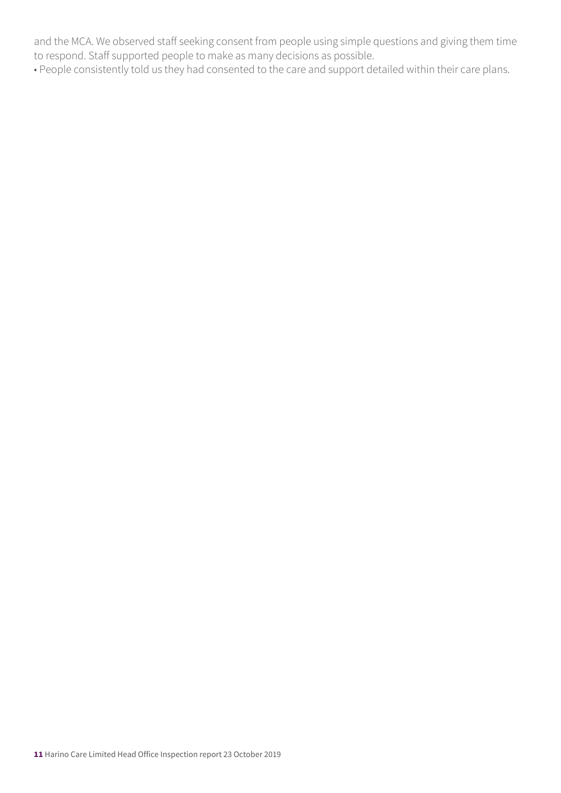and the MCA. We observed staff seeking consent from people using simple questions and giving them time to respond. Staff supported people to make as many decisions as possible.

• People consistently told us they had consented to the care and support detailed within their care plans.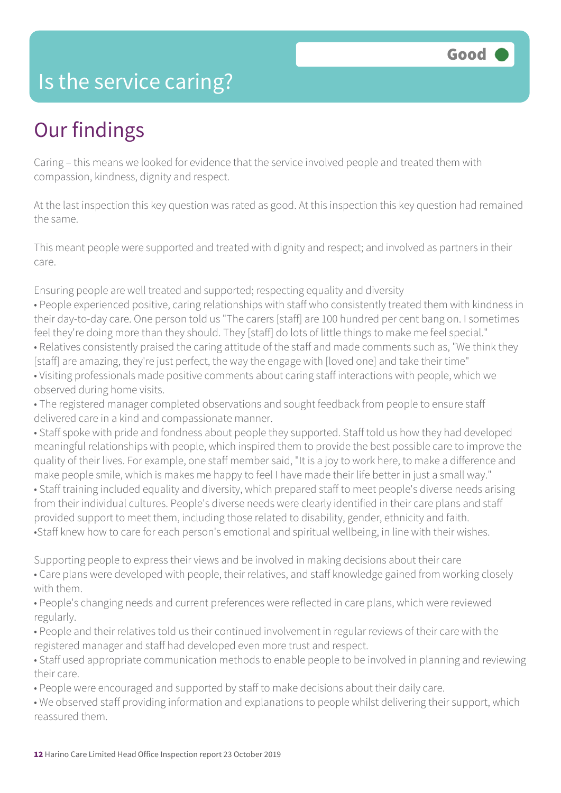#### Is the service caring?

### Our findings

Caring – this means we looked for evidence that the service involved people and treated them with compassion, kindness, dignity and respect.

At the last inspection this key question was rated as good. At this inspection this key question had remained the same.

This meant people were supported and treated with dignity and respect; and involved as partners in their care.

Ensuring people are well treated and supported; respecting equality and diversity

• People experienced positive, caring relationships with staff who consistently treated them with kindness in their day-to-day care. One person told us "The carers [staff] are 100 hundred per cent bang on. I sometimes feel they're doing more than they should. They [staff] do lots of little things to make me feel special." • Relatives consistently praised the caring attitude of the staff and made comments such as, "We think they [staff] are amazing, they're just perfect, the way the engage with [loved one] and take their time" • Visiting professionals made positive comments about caring staff interactions with people, which we observed during home visits.

• The registered manager completed observations and sought feedback from people to ensure staff delivered care in a kind and compassionate manner.

• Staff spoke with pride and fondness about people they supported. Staff told us how they had developed meaningful relationships with people, which inspired them to provide the best possible care to improve the quality of their lives. For example, one staff member said, "It is a joy to work here, to make a difference and make people smile, which is makes me happy to feel I have made their life better in just a small way." • Staff training included equality and diversity, which prepared staff to meet people's diverse needs arising from their individual cultures. People's diverse needs were clearly identified in their care plans and staff provided support to meet them, including those related to disability, gender, ethnicity and faith. •Staff knew how to care for each person's emotional and spiritual wellbeing, in line with their wishes.

Supporting people to express their views and be involved in making decisions about their care • Care plans were developed with people, their relatives, and staff knowledge gained from working closely with them.

• People's changing needs and current preferences were reflected in care plans, which were reviewed regularly.

• People and their relatives told us their continued involvement in regular reviews of their care with the registered manager and staff had developed even more trust and respect.

• Staff used appropriate communication methods to enable people to be involved in planning and reviewing their care.

• People were encouraged and supported by staff to make decisions about their daily care.

• We observed staff providing information and explanations to people whilst delivering their support, which reassured them.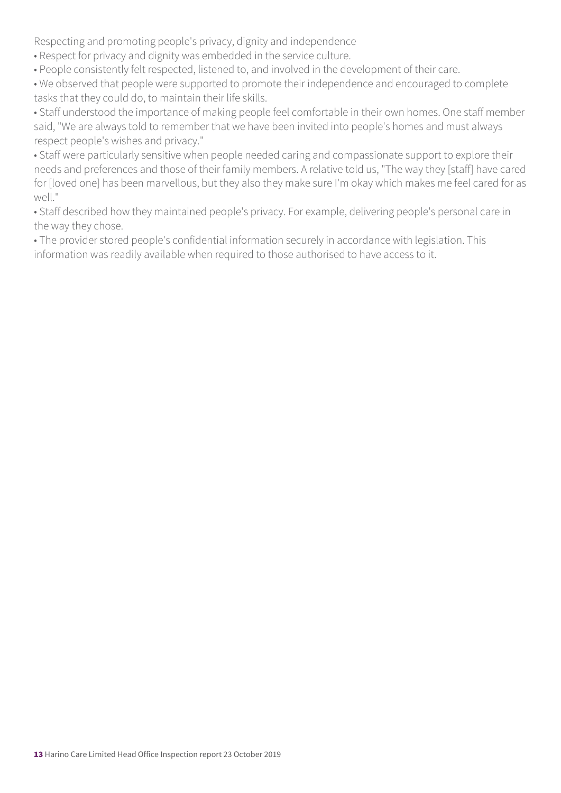Respecting and promoting people's privacy, dignity and independence

- Respect for privacy and dignity was embedded in the service culture.
- People consistently felt respected, listened to, and involved in the development of their care.
- We observed that people were supported to promote their independence and encouraged to complete tasks that they could do, to maintain their life skills.

• Staff understood the importance of making people feel comfortable in their own homes. One staff member said, "We are always told to remember that we have been invited into people's homes and must always respect people's wishes and privacy."

• Staff were particularly sensitive when people needed caring and compassionate support to explore their needs and preferences and those of their family members. A relative told us, "The way they [staff] have cared for [loved one] has been marvellous, but they also they make sure I'm okay which makes me feel cared for as well."

• Staff described how they maintained people's privacy. For example, delivering people's personal care in the way they chose.

• The provider stored people's confidential information securely in accordance with legislation. This information was readily available when required to those authorised to have access to it.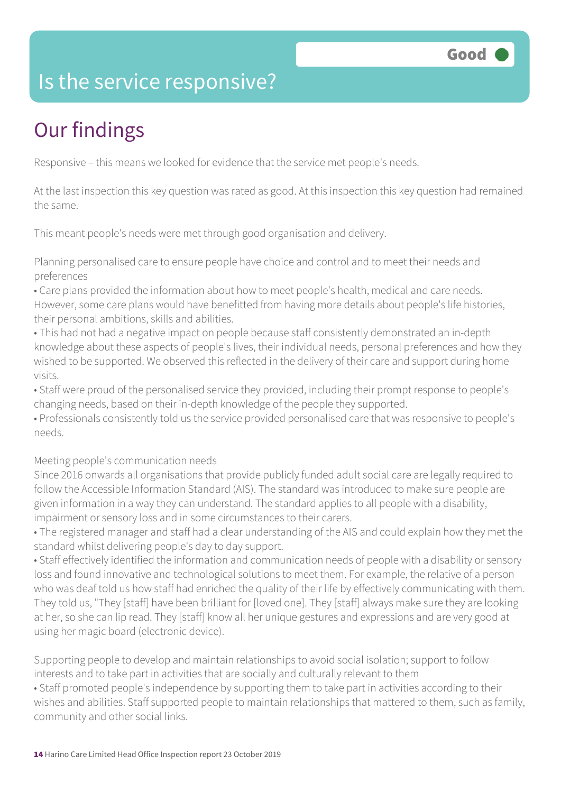### Is the service responsive?

# Our findings

Responsive – this means we looked for evidence that the service met people's needs.

At the last inspection this key question was rated as good. At this inspection this key question had remained the same.

This meant people's needs were met through good organisation and delivery.

Planning personalised care to ensure people have choice and control and to meet their needs and preferences

- Care plans provided the information about how to meet people's health, medical and care needs. However, some care plans would have benefitted from having more details about people's life histories, their personal ambitions, skills and abilities.
- This had not had a negative impact on people because staff consistently demonstrated an in-depth knowledge about these aspects of people's lives, their individual needs, personal preferences and how they wished to be supported. We observed this reflected in the delivery of their care and support during home visits.
- Staff were proud of the personalised service they provided, including their prompt response to people's changing needs, based on their in-depth knowledge of the people they supported.
- Professionals consistently told us the service provided personalised care that was responsive to people's needs.

#### Meeting people's communication needs

Since 2016 onwards all organisations that provide publicly funded adult social care are legally required to follow the Accessible Information Standard (AIS). The standard was introduced to make sure people are given information in a way they can understand. The standard applies to all people with a disability, impairment or sensory loss and in some circumstances to their carers.

• The registered manager and staff had a clear understanding of the AIS and could explain how they met the standard whilst delivering people's day to day support.

• Staff effectively identified the information and communication needs of people with a disability or sensory loss and found innovative and technological solutions to meet them. For example, the relative of a person who was deaf told us how staff had enriched the quality of their life by effectively communicating with them. They told us, "They [staff] have been brilliant for [loved one]. They [staff] always make sure they are looking at her, so she can lip read. They [staff] know all her unique gestures and expressions and are very good at using her magic board (electronic device).

Supporting people to develop and maintain relationships to avoid social isolation; support to follow interests and to take part in activities that are socially and culturally relevant to them

• Staff promoted people's independence by supporting them to take part in activities according to their wishes and abilities. Staff supported people to maintain relationships that mattered to them, such as family, community and other social links.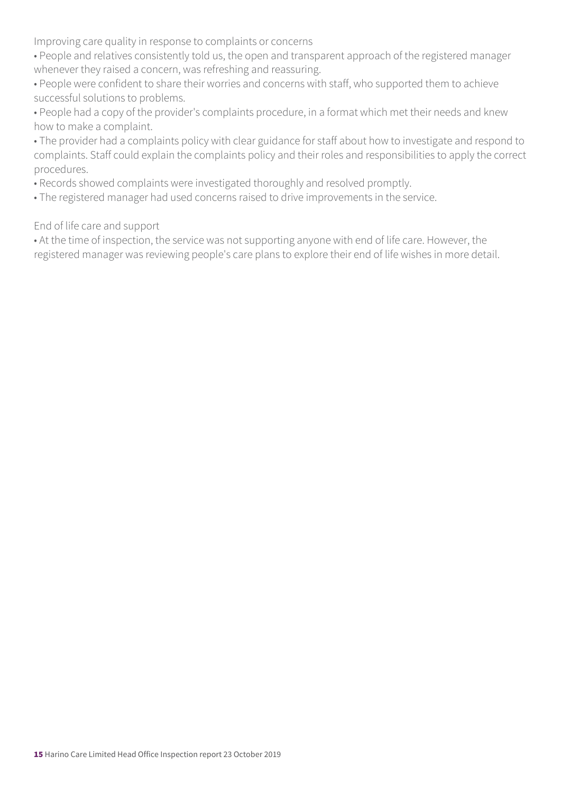Improving care quality in response to complaints or concerns

• People and relatives consistently told us, the open and transparent approach of the registered manager whenever they raised a concern, was refreshing and reassuring.

• People were confident to share their worries and concerns with staff, who supported them to achieve successful solutions to problems.

• People had a copy of the provider's complaints procedure, in a format which met their needs and knew how to make a complaint.

• The provider had a complaints policy with clear guidance for staff about how to investigate and respond to complaints. Staff could explain the complaints policy and their roles and responsibilities to apply the correct procedures.

• Records showed complaints were investigated thoroughly and resolved promptly.

• The registered manager had used concerns raised to drive improvements in the service.

End of life care and support

• At the time of inspection, the service was not supporting anyone with end of life care. However, the registered manager was reviewing people's care plans to explore their end of life wishes in more detail.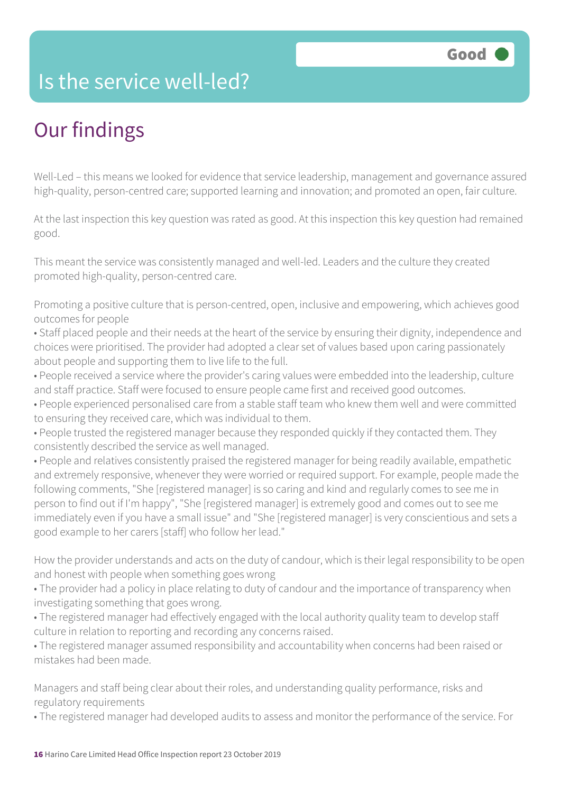### Is the service well-led?

## Our findings

Well-Led – this means we looked for evidence that service leadership, management and governance assured high-quality, person-centred care; supported learning and innovation; and promoted an open, fair culture.

At the last inspection this key question was rated as good. At this inspection this key question had remained good.

This meant the service was consistently managed and well-led. Leaders and the culture they created promoted high-quality, person-centred care.

Promoting a positive culture that is person-centred, open, inclusive and empowering, which achieves good outcomes for people

• Staff placed people and their needs at the heart of the service by ensuring their dignity, independence and choices were prioritised. The provider had adopted a clear set of values based upon caring passionately about people and supporting them to live life to the full.

- People received a service where the provider's caring values were embedded into the leadership, culture and staff practice. Staff were focused to ensure people came first and received good outcomes.
- People experienced personalised care from a stable staff team who knew them well and were committed to ensuring they received care, which was individual to them.
- People trusted the registered manager because they responded quickly if they contacted them. They consistently described the service as well managed.
- People and relatives consistently praised the registered manager for being readily available, empathetic and extremely responsive, whenever they were worried or required support. For example, people made the following comments, "She [registered manager] is so caring and kind and regularly comes to see me in person to find out if I'm happy", "She [registered manager] is extremely good and comes out to see me immediately even if you have a small issue" and "She [registered manager] is very conscientious and sets a good example to her carers [staff] who follow her lead."

How the provider understands and acts on the duty of candour, which is their legal responsibility to be open and honest with people when something goes wrong

- The provider had a policy in place relating to duty of candour and the importance of transparency when investigating something that goes wrong.
- The registered manager had effectively engaged with the local authority quality team to develop staff culture in relation to reporting and recording any concerns raised.

• The registered manager assumed responsibility and accountability when concerns had been raised or mistakes had been made.

Managers and staff being clear about their roles, and understanding quality performance, risks and regulatory requirements

• The registered manager had developed audits to assess and monitor the performance of the service. For